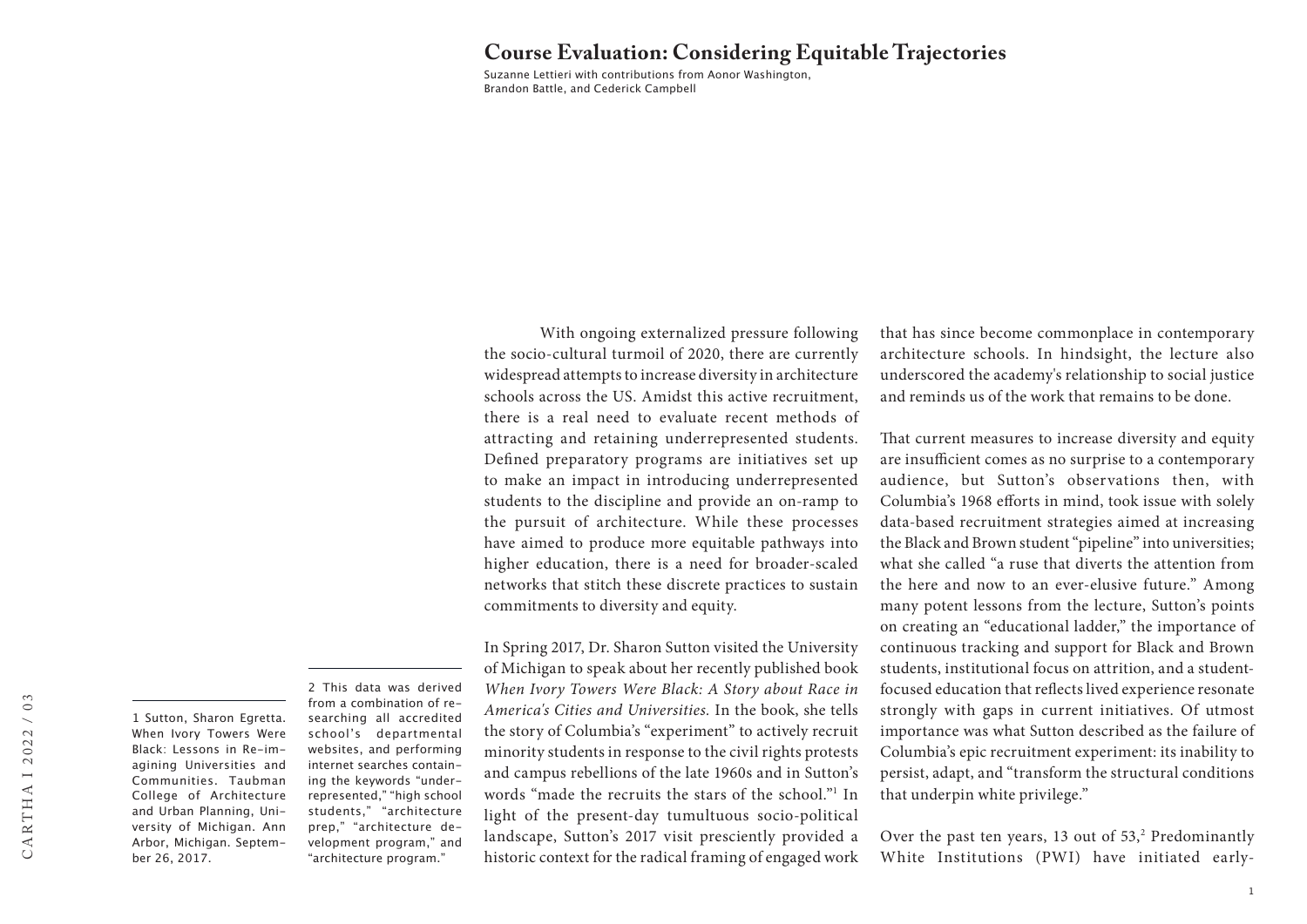## **Course Evaluation: Considering Equitable Trajectories**

Suzanne Lettieri with contributions from Aonor Washington, Brandon Battle, and Cederick Campbell

With ongoing externalized pressure following the socio-cultural turmoil of 2020, there are currently widespread attempts to increase diversity in architecture schools across the US. Amidst this active recruitment, there is a real need to evaluate recent methods of attracting and retaining underrepresented students. Defined preparatory programs are initiatives set up to make an impact in introducing underrepresented students to the discipline and provide an on-ramp to the pursuit of architecture. While these processes have aimed to produce more equitable pathways into higher education, there is a need for broader-scaled networks that stitch these discrete practices to sustain commitments to diversity and equity.

In Spring 2017, Dr. Sharon Sutton visited the University of Michigan to speak about her recently published book *When Ivory Towers Were Black: A Story about Race in America's Cities and Universities.* In the book, she tells the story of Columbia's "experiment" to actively recruit minority students in response to the civil rights protests and campus rebellions of the late 1960s and in Sutton's words "made the recruits the stars of the school."1 In light of the present-day tumultuous socio-political landscape, Sutton's 2017 visit presciently provided a historic context for the radical framing of engaged work

that has since become commonplace in contemporary architecture schools. In hindsight, the lecture also underscored the academy's relationship to social justice and reminds us of the work that remains to be done.

That current measures to increase diversity and equity are insufficient comes as no surprise to a contemporary audience, but Sutton's observations then, with Columbia's 1968 efforts in mind, took issue with solely data-based recruitment strategies aimed at increasing the Black and Brown student "pipeline" into universities; what she called "a ruse that diverts the attention from the here and now to an ever-elusive future." Among many potent lessons from the lecture, Sutton's points on creating an "educational ladder," the importance of continuous tracking and support for Black and Brown students, institutional focus on attrition, and a studentfocused education that reflects lived experience resonate strongly with gaps in current initiatives. Of utmost importance was what Sutton described as the failure of Columbia's epic recruitment experiment: its inability to persist, adapt, and "transform the structural conditions that underpin white privilege."

Over the past ten years,  $13$  out of  $53$ ,<sup>2</sup> Predominantly White Institutions (PWI) have initiated early-

1 Sutton, Sharon Egretta. When Ivory Towers Were Black: Lessons in Re-imagining Universities and Communities. Taubman College of Architecture and Urban Planning, University of Michigan. Ann Arbor, Michigan. September 26, 2017.

2 This data was derived from a combination of researching all accredited school's departmental websites, and performing internet searches containing the keywords "underrepresented," "high school students," "architecture prep," "architecture development program," and "architecture program."

 $/ 03$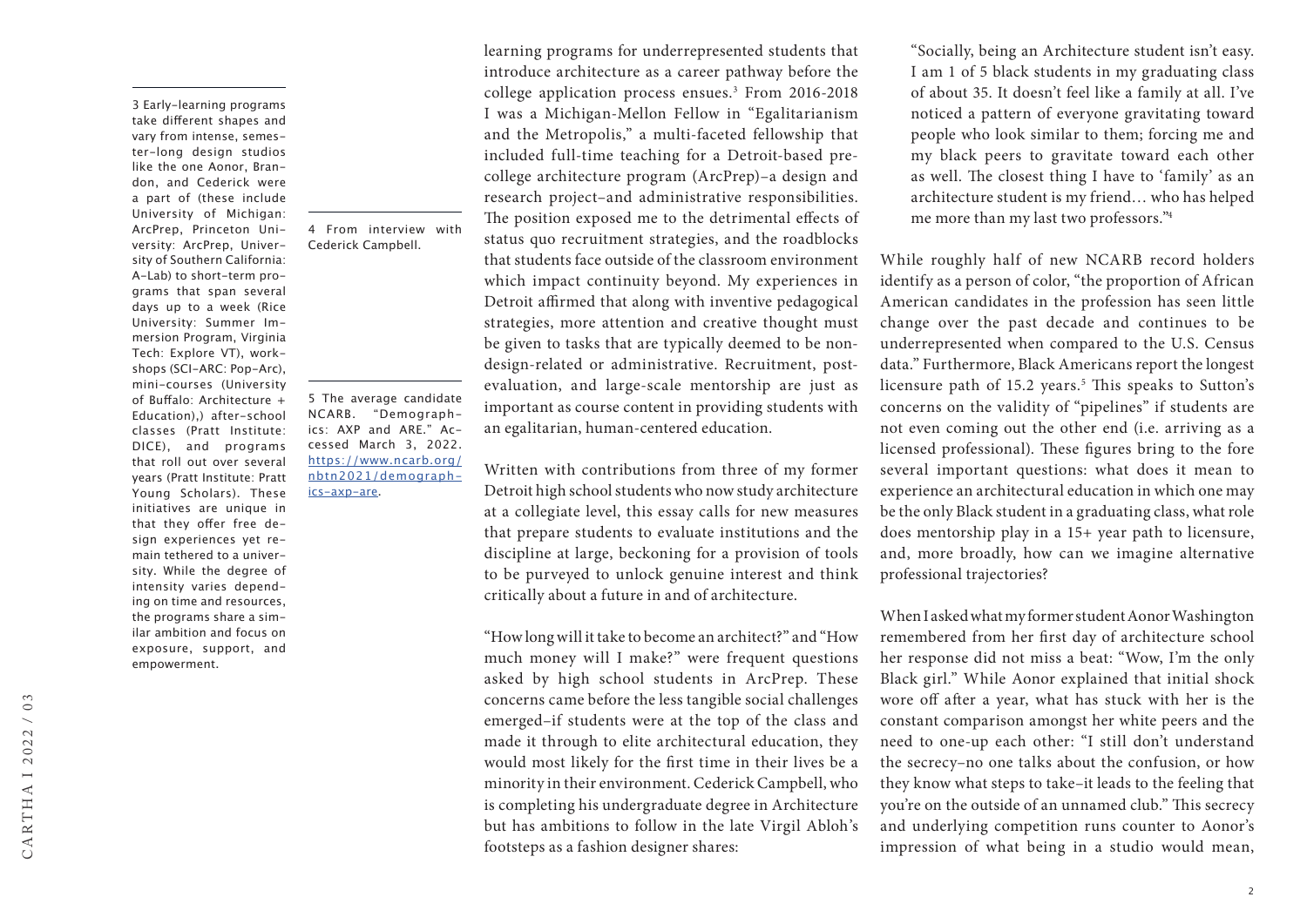3 Early-learning programs take different shapes and vary from intense, semester-long design studios like the one Aonor, Brandon, and Cederick were a part of (these include University of Michigan: ArcPrep, Princeton University: ArcPrep, University of Southern California: A-Lab) to short-term programs that span several days up to a week (Rice University: Summer Immersion Program, Virginia Tech: Explore VT), workshops (SCI-ARC: Pop-Arc), mini-courses (University of Buffalo: Architecture + Education),) after-school classes (Pratt Institute: DICE), and programs that roll out over several years (Pratt Institute: Pratt Young Scholars). These initiatives are unique in that they offer free design experiences yet remain tethered to a university. While the degree of intensity varies depending on time and resources, the programs share a similar ambition and focus on exposure, support, and empowerment.

4 From interview with Cederick Campbell.

5 The average candidate NCARB. "Demographics: AXP and ARE." Accessed March 3, 2022. [https://www.ncarb.org/](https://www.ncarb.org/nbtn2021/demographics-axp-are) [nbtn2021/demograph](https://www.ncarb.org/nbtn2021/demographics-axp-are)[ics-axp-are](https://www.ncarb.org/nbtn2021/demographics-axp-are).

learning programs for underrepresented students that introduce architecture as a career pathway before the college application process ensues.3 From 2016-2018 I was a Michigan-Mellon Fellow in "Egalitarianism and the Metropolis," a multi-faceted fellowship that included full-time teaching for a Detroit-based precollege architecture program (ArcPrep)–a design and research project–and administrative responsibilities. The position exposed me to the detrimental effects of status quo recruitment strategies, and the roadblocks that students face outside of the classroom environment which impact continuity beyond. My experiences in Detroit affirmed that along with inventive pedagogical strategies, more attention and creative thought must be given to tasks that are typically deemed to be nondesign-related or administrative. Recruitment, postevaluation, and large-scale mentorship are just as important as course content in providing students with an egalitarian, human-centered education.

Written with contributions from three of my former Detroit high school students who now study architecture at a collegiate level, this essay calls for new measures that prepare students to evaluate institutions and the discipline at large, beckoning for a provision of tools to be purveyed to unlock genuine interest and think critically about a future in and of architecture.

"How long will it take to become an architect?" and "How much money will I make?" were frequent questions asked by high school students in ArcPrep. These concerns came before the less tangible social challenges emerged–if students were at the top of the class and made it through to elite architectural education, they would most likely for the first time in their lives be a minority in their environment. Cederick Campbell, who is completing his undergraduate degree in Architecture but has ambitions to follow in the late Virgil Abloh's footsteps as a fashion designer shares:

"Socially, being an Architecture student isn't easy. I am 1 of 5 black students in my graduating class of about 35. It doesn't feel like a family at all. I've noticed a pattern of everyone gravitating toward people who look similar to them; forcing me and my black peers to gravitate toward each other as well. The closest thing I have to 'family' as an architecture student is my friend… who has helped me more than my last two professors."4

While roughly half of new NCARB record holders identify as a person of color, "the proportion of African American candidates in the profession has seen little change over the past decade and continues to be underrepresented when compared to the U.S. Census data." Furthermore, Black Americans report the longest licensure path of 15.2 years.<sup>5</sup> This speaks to Sutton's concerns on the validity of "pipelines" if students are not even coming out the other end (i.e. arriving as a licensed professional). These figures bring to the fore several important questions: what does it mean to experience an architectural education in which one may be the only Black student in a graduating class, what role does mentorship play in a 15+ year path to licensure, and, more broadly, how can we imagine alternative professional trajectories?

When I asked what my former student Aonor Washington remembered from her first day of architecture school her response did not miss a beat: "Wow, I'm the only Black girl." While Aonor explained that initial shock wore off after a year, what has stuck with her is the constant comparison amongst her white peers and the need to one-up each other: "I still don't understand the secrecy–no one talks about the confusion, or how they know what steps to take–it leads to the feeling that you're on the outside of an unnamed club." This secrecy and underlying competition runs counter to Aonor's impression of what being in a studio would mean,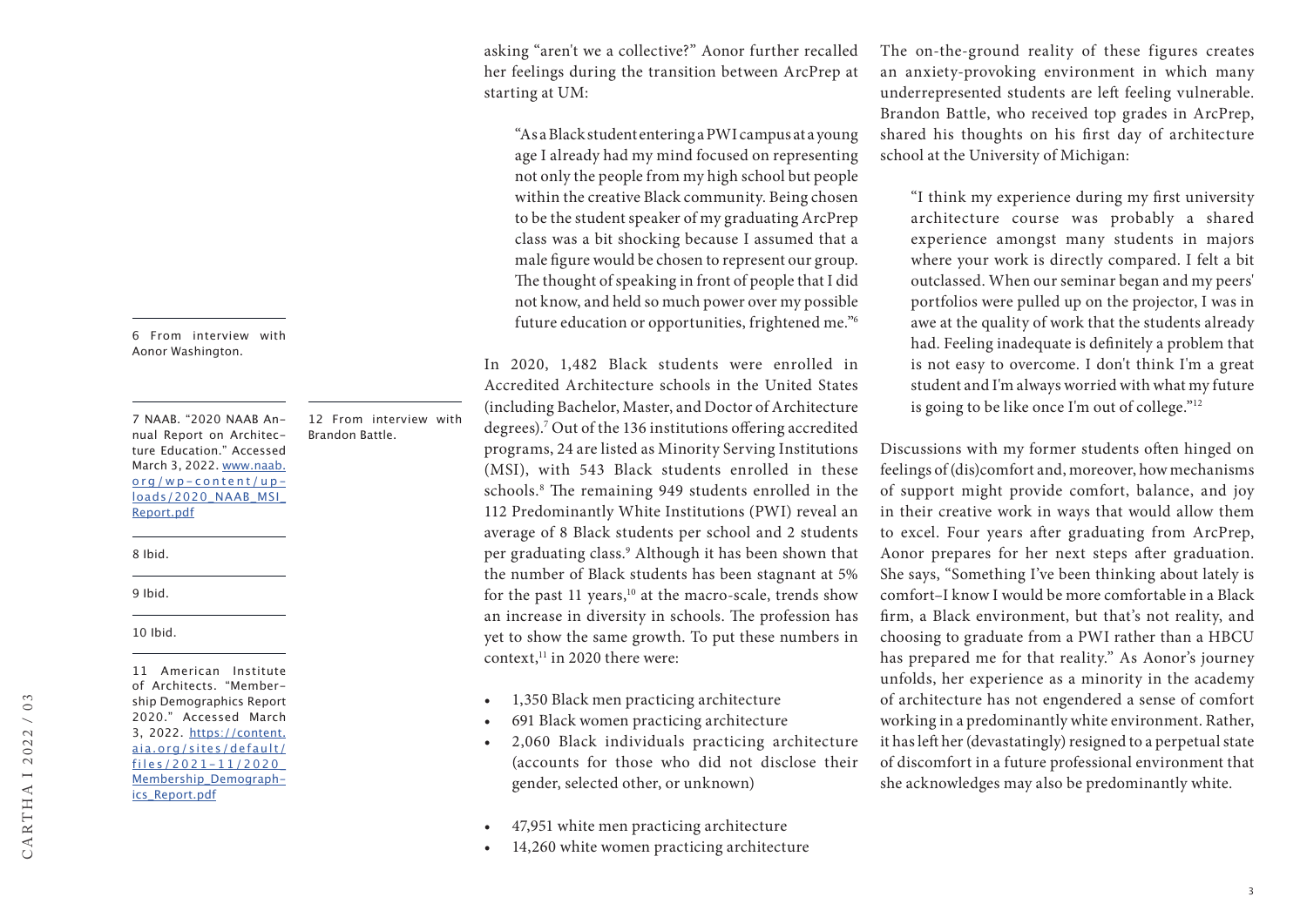asking "aren't we a collective?" Aonor further recalled her feelings during the transition between ArcPrep at starting at UM:

"As a Black student entering a PWI campus at a young age I already had my mind focused on representing not only the people from my high school but people within the creative Black community. Being chosen to be the student speaker of my graduating ArcPrep class was a bit shocking because I assumed that a male figure would be chosen to represent our group. The thought of speaking in front of people that I did not know, and held so much power over my possible future education or opportunities, frightened me."6

In 2020, 1,482 Black students were enrolled in Accredited Architecture schools in the United States (including Bachelor, Master, and Doctor of Architecture degrees).7 Out of the 136 institutions offering accredited programs, 24 are listed as Minority Serving Institutions (MSI), with 543 Black students enrolled in these schools.8 The remaining 949 students enrolled in the 112 Predominantly White Institutions (PWI) reveal an average of 8 Black students per school and 2 students per graduating class.9 Although it has been shown that the number of Black students has been stagnant at 5% for the past 11 years, $10$  at the macro-scale, trends show an increase in diversity in schools. The profession has yet to show the same growth. To put these numbers in context,<sup>11</sup> in 2020 there were:

- 1,350 Black men practicing architecture
- 691 Black women practicing architecture
- 2,060 Black individuals practicing architecture (accounts for those who did not disclose their gender, selected other, or unknown)
- 47,951 white men practicing architecture
- 14,260 white women practicing architecture

The on-the-ground reality of these figures creates an anxiety-provoking environment in which many underrepresented students are left feeling vulnerable. Brandon Battle, who received top grades in ArcPrep, shared his thoughts on his first day of architecture school at the University of Michigan:

"I think my experience during my first university architecture course was probably a shared experience amongst many students in majors where your work is directly compared. I felt a bit outclassed. When our seminar began and my peers' portfolios were pulled up on the projector, I was in awe at the quality of work that the students already had. Feeling inadequate is definitely a problem that is not easy to overcome. I don't think I'm a great student and I'm always worried with what my future is going to be like once I'm out of college."12

Discussions with my former students often hinged on feelings of (dis)comfort and, moreover, how mechanisms of support might provide comfort, balance, and joy in their creative work in ways that would allow them to excel. Four years after graduating from ArcPrep, Aonor prepares for her next steps after graduation. She says, "Something I've been thinking about lately is comfort–I know I would be more comfortable in a Black firm, a Black environment, but that's not reality, and choosing to graduate from a PWI rather than a HBCU has prepared me for that reality." As Aonor's journey unfolds, her experience as a minority in the academy of architecture has not engendered a sense of comfort working in a predominantly white environment. Rather, it has left her (devastatingly) resigned to a perpetual state of discomfort in a future professional environment that she acknowledges may also be predominantly white.

6 From interview with Aonor Washington.

7 NAAB. "2020 NAAB Annual Report on Architecture Education." Accessed March 3, 2022. [www.naab.](https://www.naab.org/wp-content/uploads/2020_NAAB_MSI_Report.pdf) [org/wp-content/up](https://www.naab.org/wp-content/uploads/2020_NAAB_MSI_Report.pdf) loads/2020\_NAAB\_MSI [Report.pdf](https://www.naab.org/wp-content/uploads/2020_NAAB_MSI_Report.pdf)

12 From interview with

Brandon Battle.

8 Ibid.

9 Ibid.

10 Ibid.

 $/ 03$ CARTHA I 2022 / 03 CARTHAI2022 of Architects. "Membership Demographics Report 2020." Accessed March 3, 2022. [https://content.](https://content.aia.org/sites/default/files/2021-11/2020_Membership_Demographics_Report.pdf) [aia.org/sites/default/](https://content.aia.org/sites/default/files/2021-11/2020_Membership_Demographics_Report.pdf) [files/2021-11/2020\\_](https://content.aia.org/sites/default/files/2021-11/2020_Membership_Demographics_Report.pdf) [Membership\\_Demograph](https://content.aia.org/sites/default/files/2021-11/2020_Membership_Demographics_Report.pdf)[ics\\_Report.pdf](https://content.aia.org/sites/default/files/2021-11/2020_Membership_Demographics_Report.pdf)

11 American Institute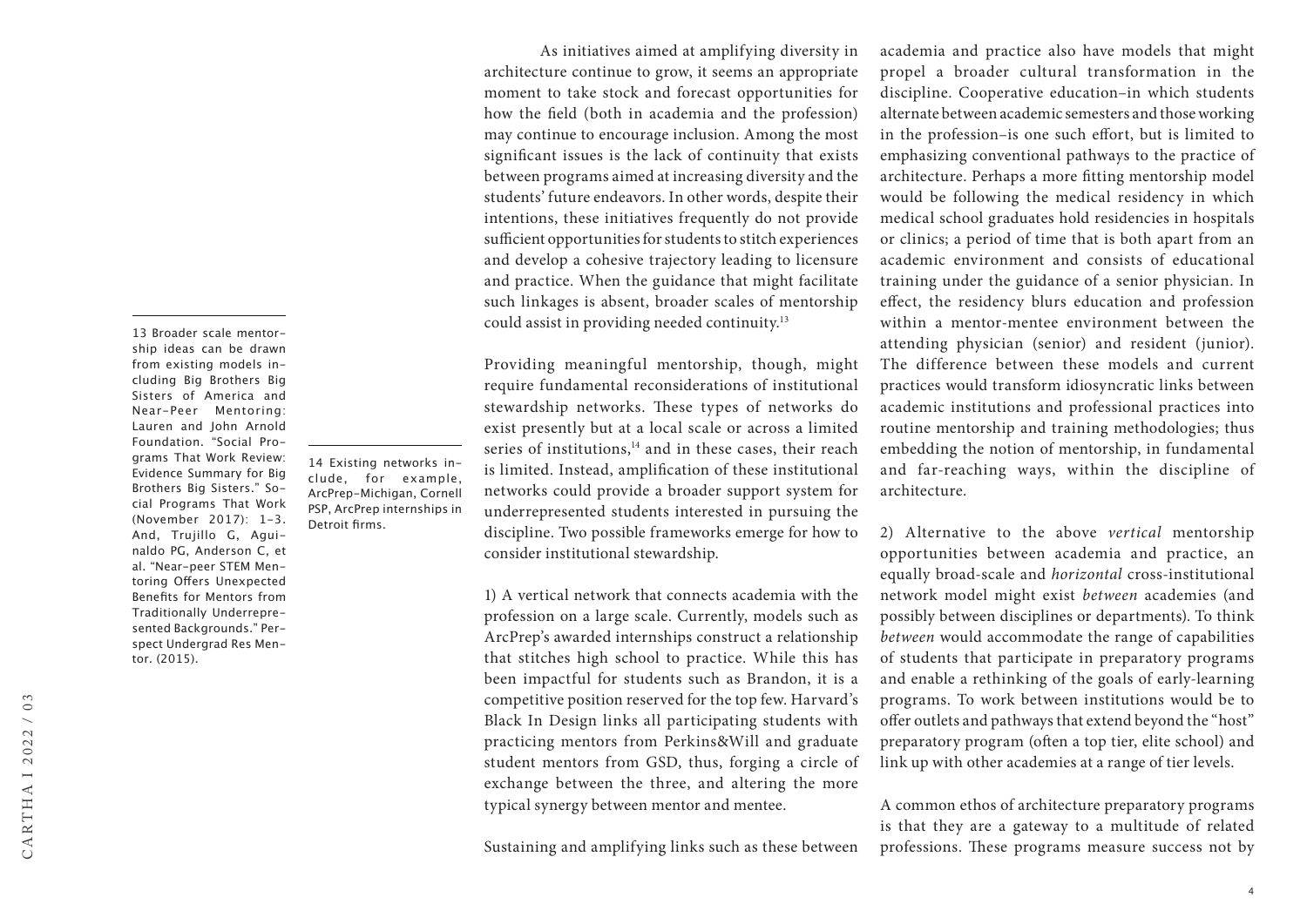13 Broader scale mentorship ideas can be drawn from existing models including Big Brothers Big Sisters of America and Near-Peer Mentoring: Lauren and John Arnold Foundation. "Social Programs That Work Review: Evidence Summary for Big Brothers Big Sisters." Social Programs That Work (November 2017): 1-3. And, Trujillo G, Aguinaldo PG, Anderson C, et al. "Near-peer STEM Mentoring Offers Unexpected Benefits for Mentors from Traditionally Underrepresented Backgrounds." Perspect Undergrad Res Mentor. (2015).

14 Existing networks include, for example, ArcPrep-Michigan, Cornell PSP, ArcPrep internships in

Detroit firms.

As initiatives aimed at amplifying diversity in architecture continue to grow, it seems an appropriate moment to take stock and forecast opportunities for how the field (both in academia and the profession) may continue to encourage inclusion. Among the most significant issues is the lack of continuity that exists between programs aimed at increasing diversity and the students' future endeavors. In other words, despite their intentions, these initiatives frequently do not provide sufficient opportunities for students to stitch experiences and develop a cohesive trajectory leading to licensure and practice. When the guidance that might facilitate such linkages is absent, broader scales of mentorship could assist in providing needed continuity.13

Providing meaningful mentorship, though, might require fundamental reconsiderations of institutional stewardship networks. These types of networks do exist presently but at a local scale or across a limited series of institutions, $14$  and in these cases, their reach is limited. Instead, amplification of these institutional networks could provide a broader support system for underrepresented students interested in pursuing the discipline. Two possible frameworks emerge for how to consider institutional stewardship.

1) A vertical network that connects academia with the profession on a large scale. Currently, models such as ArcPrep's awarded internships construct a relationship that stitches high school to practice. While this has been impactful for students such as Brandon, it is a competitive position reserved for the top few. Harvard's Black In Design links all participating students with practicing mentors from Perkins&Will and graduate student mentors from GSD, thus, forging a circle of exchange between the three, and altering the more typical synergy between mentor and mentee.

Sustaining and amplifying links such as these between

academia and practice also have models that might propel a broader cultural transformation in the discipline. Cooperative education–in which students alternate between academic semesters and those working in the profession–is one such effort, but is limited to emphasizing conventional pathways to the practice of architecture. Perhaps a more fitting mentorship model would be following the medical residency in which medical school graduates hold residencies in hospitals or clinics; a period of time that is both apart from an academic environment and consists of educational training under the guidance of a senior physician. In effect, the residency blurs education and profession within a mentor-mentee environment between the attending physician (senior) and resident (junior). The difference between these models and current practices would transform idiosyncratic links between academic institutions and professional practices into routine mentorship and training methodologies; thus embedding the notion of mentorship, in fundamental and far-reaching ways, within the discipline of architecture.

2) Alternative to the above *vertical* mentorship opportunities between academia and practice, an equally broad-scale and *horizontal* cross-institutional network model might exist *between* academies (and possibly between disciplines or departments). To think *between* would accommodate the range of capabilities of students that participate in preparatory programs and enable a rethinking of the goals of early-learning programs. To work between institutions would be to offer outlets and pathways that extend beyond the "host" preparatory program (often a top tier, elite school) and link up with other academies at a range of tier levels.

A common ethos of architecture preparatory programs is that they are a gateway to a multitude of related professions. These programs measure success not by

4